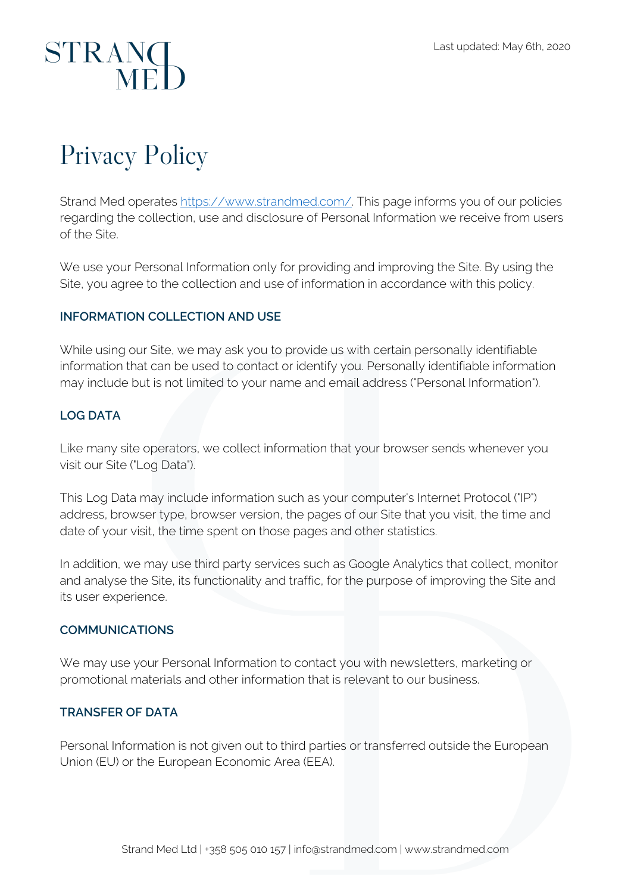# STRANG

### Privacy Policy

Strand Med operates https://www.strandmed.com/. This page informs you of our policies regarding the collection, use and disclosure of Personal Information we receive from users of the Site.

We use your Personal Information only for providing and improving the Site. By using the Site, you agree to the collection and use of information in accordance with this policy.

### **INFORMATION COLLECTION AND USE**

While using our Site, we may ask you to provide us with certain personally identifiable information that can be used to contact or identify you. Personally identifiable information may include but is not limited to your name and email address ("Personal Information").

### **LOG DATA**

Like many site operators, we collect information that your browser sends whenever you visit our Site ("Log Data").

This Log Data may include information such as your computer's Internet Protocol ("IP") address, browser type, browser version, the pages of our Site that you visit, the time and date of your visit, the time spent on those pages and other statistics.

In addition, we may use third party services such as Google Analytics that collect, monitor and analyse the Site, its functionality and traffic, for the purpose of improving the Site and its user experience.

### **COMMUNICATIONS**

We may use your Personal Information to contact you with newsletters, marketing or promotional materials and other information that is relevant to our business.

### **TRANSFER OF DATA**

Personal Information is not given out to third parties or transferred outside the European Union (EU) or the European Economic Area (EEA).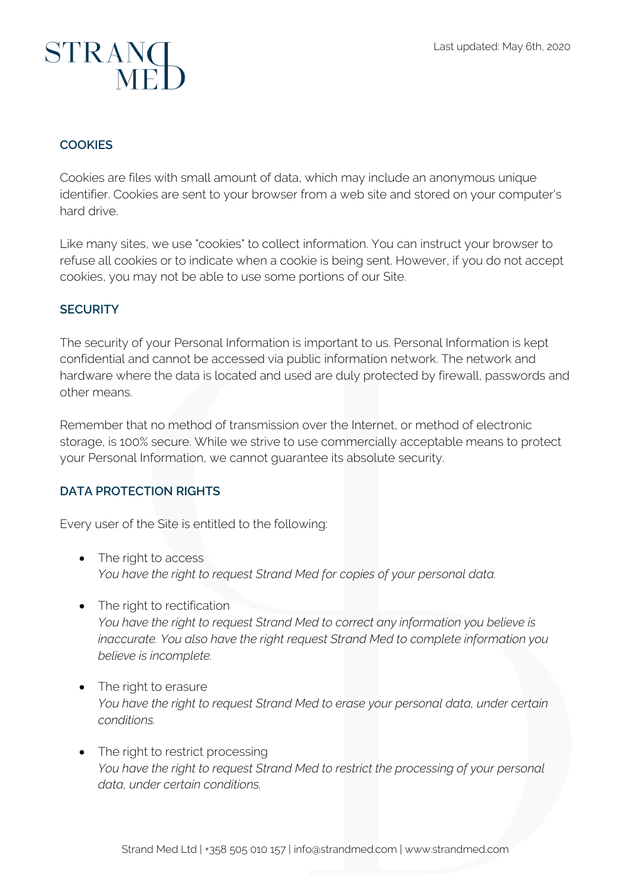## STRANC

### **COOKIES**

Cookies are files with small amount of data, which may include an anonymous unique identifier. Cookies are sent to your browser from a web site and stored on your computer's hard drive.

Like many sites, we use "cookies" to collect information. You can instruct your browser to refuse all cookies or to indicate when a cookie is being sent. However, if you do not accept cookies, you may not be able to use some portions of our Site.

### **SECURITY**

The security of your Personal Information is important to us. Personal Information is kept confidential and cannot be accessed via public information network. The network and hardware where the data is located and used are duly protected by firewall, passwords and other means.

Remember that no method of transmission over the Internet, or method of electronic storage, is 100% secure. While we strive to use commercially acceptable means to protect your Personal Information, we cannot guarantee its absolute security.

### **DATA PROTECTION RIGHTS**

Every user of the Site is entitled to the following:

- The right to access *You have the right to request Strand Med for copies of your personal data.*
- The right to rectification *You have the right to request Strand Med to correct any information you believe is inaccurate. You also have the right request Strand Med to complete information you believe is incomplete.*
- The right to erasure *You have the right to request Strand Med to erase your personal data, under certain conditions.*
- The right to restrict processing *You have the right to request Strand Med to restrict the processing of your personal data, under certain conditions.*